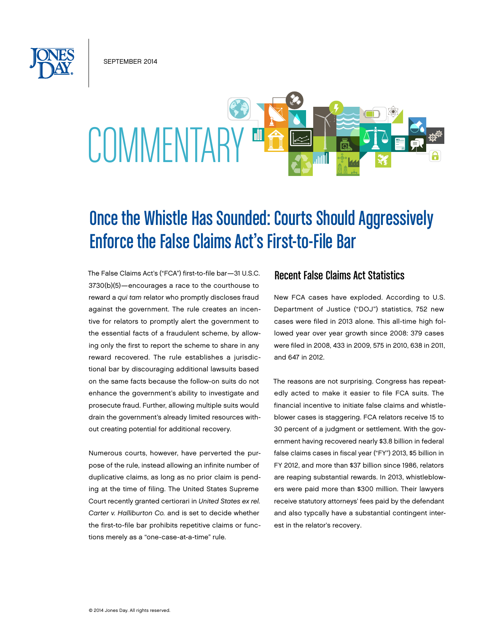september 2014



# Once the Whistle Has Sounded: Courts Should Aggressively Enforce the False Claims Act's First-to-File Bar

The False Claims Act's ("FCA") first-to-file bar—31 U.S.C. 3730(b)(5)—encourages a race to the courthouse to reward a *qui tam* relator who promptly discloses fraud against the government. The rule creates an incentive for relators to promptly alert the government to the essential facts of a fraudulent scheme, by allowing only the first to report the scheme to share in any reward recovered. The rule establishes a jurisdictional bar by discouraging additional lawsuits based on the same facts because the follow-on suits do not enhance the government's ability to investigate and prosecute fraud. Further, allowing multiple suits would drain the government's already limited resources without creating potential for additional recovery.

Numerous courts, however, have perverted the purpose of the rule, instead allowing an infinite number of duplicative claims, as long as no prior claim is pending at the time of filing. The United States Supreme Court recently granted certiorari in *United States ex rel. Carter v. Halliburton Co.* and is set to decide whether the first-to-file bar prohibits repetitive claims or functions merely as a "one-case-at-a-time" rule.

## Recent False Claims Act Statistics

New FCA cases have exploded. According to U.S. Department of Justice ("DOJ") statistics, 752 new cases were filed in 2013 alone. This all-time high followed year over year growth since 2008: 379 cases were filed in 2008, 433 in 2009, 575 in 2010, 638 in 2011, and 647 in 2012.

The reasons are not surprising. Congress has repeatedly acted to make it easier to file FCA suits. The financial incentive to initiate false claims and whistleblower cases is staggering. FCA relators receive 15 to 30 percent of a judgment or settlement. With the government having recovered nearly \$3.8 billion in federal false claims cases in fiscal year ("FY") 2013, \$5 billion in FY 2012, and more than \$37 billion since 1986, relators are reaping substantial rewards. In 2013, whistleblowers were paid more than \$300 million. Their lawyers receive statutory attorneys' fees paid by the defendant and also typcally have a substantial contingent interest in the relator's recovery.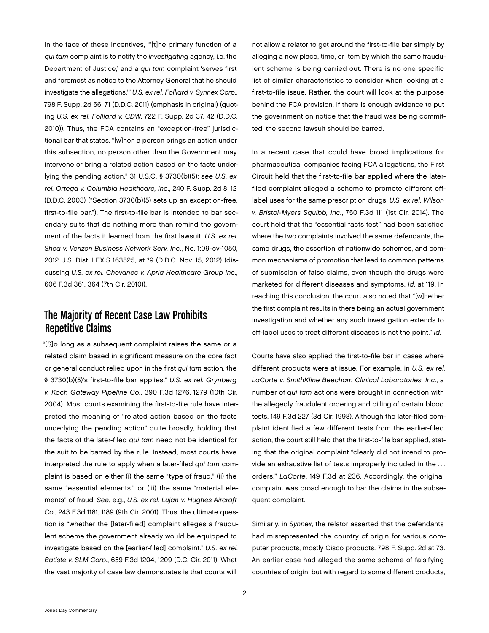In the face of these incentives, "'[t]he primary function of a *qui tam* complaint is to notify the *investigating* agency, i.e. the Department of Justice,' and a *qui tam* complaint 'serves first and foremost as notice to the Attorney General that he should investigate the allegations.'" *U.S. ex rel. Folliard v. Synnex Corp.*, 798 F. Supp. 2d 66, 71 (D.D.C. 2011) (emphasis in original) (quoting *U.S. ex rel. Folliard v. CDW*, 722 F. Supp. 2d 37, 42 (D.D.C. 2010)). Thus, the FCA contains an "exception-free" jurisdictional bar that states, "[w]hen a person brings an action under this subsection, no person other than the Government may intervene or bring a related action based on the facts underlying the pending action." 31 U.S.C. § 3730(b)(5); *see U.S. ex rel. Ortega v. Columbia Healthcare, Inc*., 240 F. Supp. 2d 8, 12 (D.D.C. 2003) ("Section 3730(b)(5) sets up an exception-free, first-to-file bar."). The first-to-file bar is intended to bar secondary suits that do nothing more than remind the government of the facts it learned from the first lawsuit. *U.S. ex rel. Shea v. Verizon Business Network Serv. Inc*., No. 1:09-cv-1050, 2012 U.S. Dist. LEXIS 163525, at \*9 (D.D.C. Nov. 15, 2012) (discussing *U.S. ex rel. Chovanec v. Apria Healthcare Group Inc*., 606 F.3d 361, 364 (7th Cir. 2010)).

## The Majority of Recent Case Law Prohibits Repetitive Claims

"[S]o long as a subsequent complaint raises the same or a related claim based in significant measure on the core fact or general conduct relied upon in the first *qui tam* action, the § 3730(b)(5)'s first-to-file bar applies." *U.S. ex rel. Grynberg v. Koch Gateway Pipeline Co*., 390 F.3d 1276, 1279 (10th Cir. 2004). Most courts examining the first-to-file rule have interpreted the meaning of "related action based on the facts underlying the pending action" quite broadly, holding that the facts of the later-filed *qui tam* need not be identical for the suit to be barred by the rule. Instead, most courts have interpreted the rule to apply when a later-filed *qui tam* complaint is based on either (i) the same "type of fraud," (ii) the same "essential elements," or (iii) the same "material elements" of fraud. *See*, e.g., *U.S. ex rel. Lujan v. Hughes Aircraft Co*., 243 F.3d 1181, 1189 (9th Cir. 2001). Thus, the ultimate question is "whether the [later-filed] complaint alleges a fraudulent scheme the government already would be equipped to investigate based on the [earlier-filed] complaint." *U.S. ex rel. Batiste v. SLM Corp.*, 659 F.3d 1204, 1209 (D.C. Cir. 2011). What the vast majority of case law demonstrates is that courts will

not allow a relator to get around the first-to-file bar simply by alleging a new place, time, or item by which the same fraudulent scheme is being carried out. There is no one specific list of similar characteristics to consider when looking at a first-to-file issue. Rather, the court will look at the purpose behind the FCA provision. If there is enough evidence to put the government on notice that the fraud was being committed, the second lawsuit should be barred.

In a recent case that could have broad implications for pharmaceutical companies facing FCA allegations, the First Circuit held that the first-to-file bar applied where the laterfiled complaint alleged a scheme to promote different offlabel uses for the same prescription drugs. *U.S. ex rel. Wilson v. Bristol-Myers Squibb, Inc.*, 750 F.3d 111 (1st Cir. 2014). The court held that the "essential facts test" had been satisfied where the two complaints involved the same defendants, the same drugs, the assertion of nationwide schemes, and common mechanisms of promotion that lead to common patterns of submission of false claims, even though the drugs were marketed for different diseases and symptoms. *Id*. at 119. In reaching this conclusion, the court also noted that "[w]hether the first complaint results in there being an actual government investigation and whether any such investigation extends to off-label uses to treat different diseases is not the point." *Id*.

Courts have also applied the first-to-file bar in cases where different products were at issue. For example, in *U.S. ex rel. LaCorte v. SmithKline Beecham Clinical Laboratories, Inc*., a number of *qui tam* actions were brought in connection with the allegedly fraudulent ordering and billing of certain blood tests. 149 F.3d 227 (3d Cir. 1998). Although the later-filed complaint identified a few different tests from the earlier-filed action, the court still held that the first-to-file bar applied, stating that the original complaint "clearly did not intend to provide an exhaustive list of tests improperly included in the . . . orders." *LaCorte*, 149 F.3d at 236. Accordingly, the original complaint was broad enough to bar the claims in the subsequent complaint.

Similarly, in *Synnex*, the relator asserted that the defendants had misrepresented the country of origin for various computer products, mostly Cisco products. 798 F. Supp. 2d at 73. An earlier case had alleged the same scheme of falsifying countries of origin, but with regard to some different products,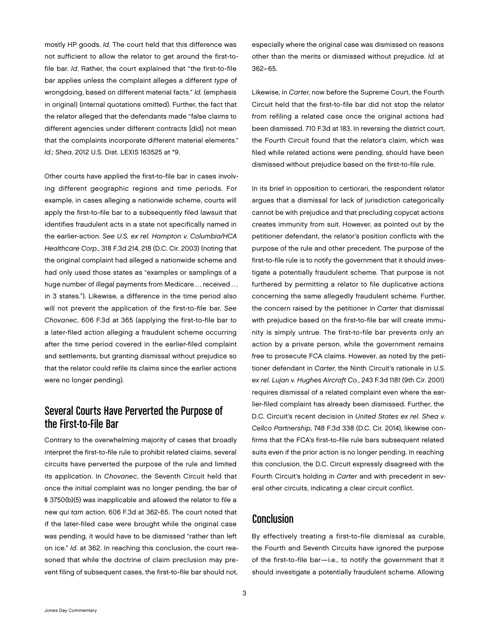mostly HP goods. *Id.* The court held that this difference was not sufficient to allow the relator to get around the first-tofile bar. *Id*. Rather, the court explained that "the first-to-file bar applies unless the complaint alleges a different *type* of wrongdoing, based on different material facts." *Id.* (emphasis in original) (internal quotations omitted). Further, the fact that the relator alleged that the defendants made "false claims to different agencies under different contracts [did] not mean that the complaints incorporate different material elements." *Id.*; *Shea*, 2012 U.S. Dist. LEXIS 163525 at \*9.

Other courts have applied the first-to-file bar in cases involving different geographic regions and time periods. For example, in cases alleging a nationwide scheme, courts will apply the first-to-file bar to a subsequently filed lawsuit that identifies fraudulent acts in a state not specifically named in the earlier-action. *See U.S. ex rel. Hampton v. Columbia/HCA Healthcare Corp*., 318 F.3d 214, 218 (D.C. Cir. 2003) (noting that the original complaint had alleged a nationwide scheme and had only used those states as "examples or samplings of a huge number of illegal payments from Medicare ... received ... in 3 states."). Likewise, a difference in the time period also will not prevent the application of the first-to-file bar. *See Chovanec*, 606 F.3d at 365 (applying the first-to-file bar to a later-filed action alleging a fraudulent scheme occurring after the time period covered in the earlier-filed complaint and settlements, but granting dismissal without prejudice so that the relator could refile its claims since the earlier actions were no longer pending).

## Several Courts Have Perverted the Purpose of the First-to-File Bar

Contrary to the overwhelming majority of cases that broadly interpret the first-to-file rule to prohibit related claims, several circuits have perverted the purpose of the rule and limited its application. In *Chovanec*, the Seventh Circuit held that once the initial complaint was no longer pending, the bar of § 3750(b)(5) was inapplicable and allowed the relator to file a new *qui tam* action. 606 F.3d at 362-65. The court noted that if the later-filed case were brought while the original case was pending, it would have to be dismissed "rather than left on ice." *Id*. at 362. In reaching this conclusion, the court reasoned that while the doctrine of claim preclusion may prevent filing of subsequent cases, the first-to-file bar should not,

especially where the original case was dismissed on reasons other than the merits or dismissed without prejudice. *Id*. at 362–65.

Likewise, in *Carter*, now before the Supreme Court, the Fourth Circuit held that the first-to-file bar did not stop the relator from refiling a related case once the original actions had been dismissed. 710 F.3d at 183. In reversing the district court, the Fourth Circuit found that the relator's claim, which was filed while related actions were pending, should have been dismissed without prejudice based on the first-to-file rule.

In its brief in opposition to certiorari, the respondent relator argues that a dismissal for lack of jurisdiction categorically cannot be with prejudice and that precluding copycat actions creates immunity from suit. However, as pointed out by the petitioner defendant, the relator's position conflicts with the purpose of the rule and other precedent. The purpose of the first-to-file rule is to notify the government that it should investigate a potentially fraudulent scheme. That purpose is not furthered by permitting a relator to file duplicative actions concerning the same allegedly fraudulent scheme. Further, the concern raised by the petitioner in *Carter* that dismissal with prejudice based on the first-to-file bar will create immunity is simply untrue. The first-to-file bar prevents only an action by a private person, while the government remains free to prosecute FCA claims. However, as noted by the petitioner defendant in *Carter*, the Ninth Circuit's rationale in *U.S. ex rel. Lujan v. Hughes Aircraft Co.*, 243 F.3d 1181 (9th Cir. 2001) requires dismissal of a related complaint even where the earlier-filed complaint has already been dismissed. Further, the D.C. Circuit's recent decision in *United States ex rel. Shea v. Cellco Partnership*, 748 F.3d 338 (D.C. Cir. 2014), likewise confirms that the FCA's first-to-file rule bars subsequent related suits even if the prior action is no longer pending. In reaching this conclusion, the D.C. Circuit expressly disagreed with the Fourth Circuit's holding in *Carter* and with precedent in several other circuits, indicating a clear circuit conflict.

### Conclusion

By effectively treating a first-to-file dismissal as curable, the Fourth and Seventh Circuits have ignored the purpose of the first-to-file bar—i.e., to notify the government that it should investigate a potentially fraudulent scheme. Allowing